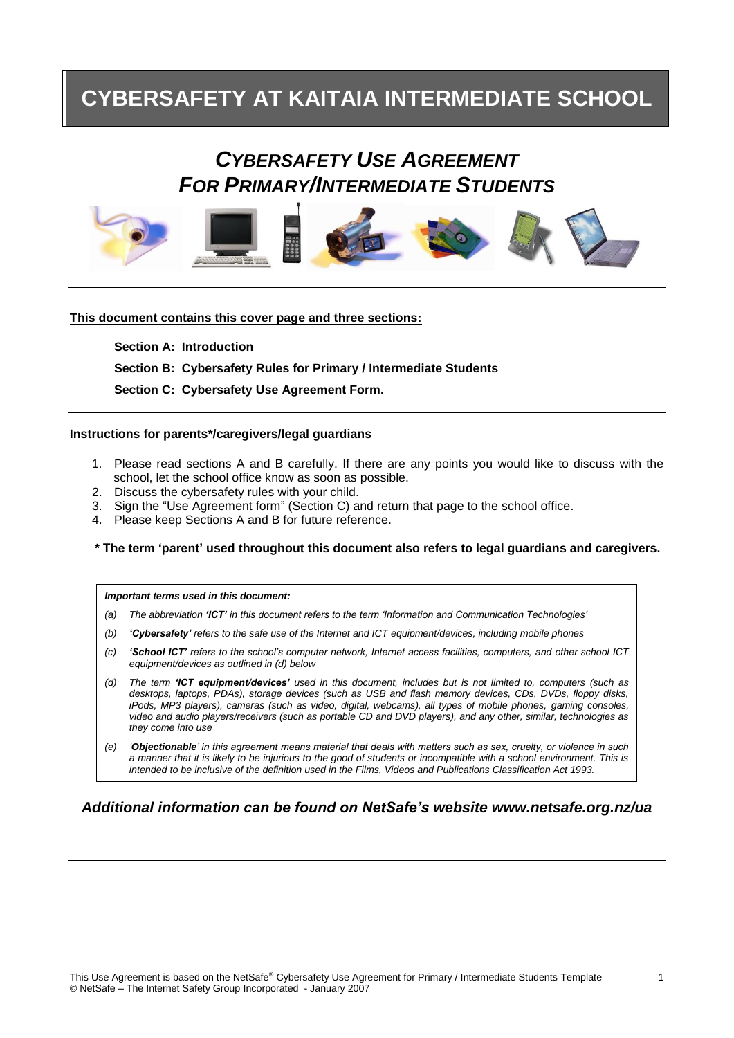# **CYBERSAFETY AT KAITAIA INTERMEDIATE SCHOOL**

# *CYBERSAFETY USE AGREEMENT FOR PRIMARY/INTERMEDIATE STUDENTS*



### **This document contains this cover page and three sections:**

**Section A: Introduction Section B: Cybersafety Rules for Primary / Intermediate Students Section C: Cybersafety Use Agreement Form.**

#### **Instructions for parents\*/caregivers/legal guardians**

- 1. Please read sections A and B carefully. If there are any points you would like to discuss with the school, let the school office know as soon as possible.
- 2. Discuss the cybersafety rules with your child.
- 3. Sign the "Use Agreement form" (Section C) and return that page to the school office.
- 4. Please keep Sections A and B for future reference.

#### **\* The term 'parent' used throughout this document also refers to legal guardians and caregivers.**

*Important terms used in this document:*

- *(a) The abbreviation 'ICT' in this document refers to the term 'Information and Communication Technologies'*
- *(b) 'Cybersafety' refers to the safe use of the Internet and ICT equipment/devices, including mobile phones*
- *(c) 'School ICT' refers to the school's computer network, Internet access facilities, computers, and other school ICT equipment/devices as outlined in (d) below*
- *(d) The term 'ICT equipment/devices' used in this document, includes but is not limited to, computers (such as desktops, laptops, PDAs), storage devices (such as USB and flash memory devices, CDs, DVDs, floppy disks, iPods, MP3 players), cameras (such as video, digital, webcams), all types of mobile phones, gaming consoles, video and audio players/receivers (such as portable CD and DVD players), and any other, similar, technologies as they come into use*
- *(e) 'Objectionable' in this agreement means material that deals with matters such as sex, cruelty, or violence in such a manner that it is likely to be injurious to the good of students or incompatible with a school environment. This is intended to be inclusive of the definition used in the Films, Videos and Publications Classification Act 1993.*

## *Additional information can be found on NetSafe's website www.netsafe.org.nz/ua*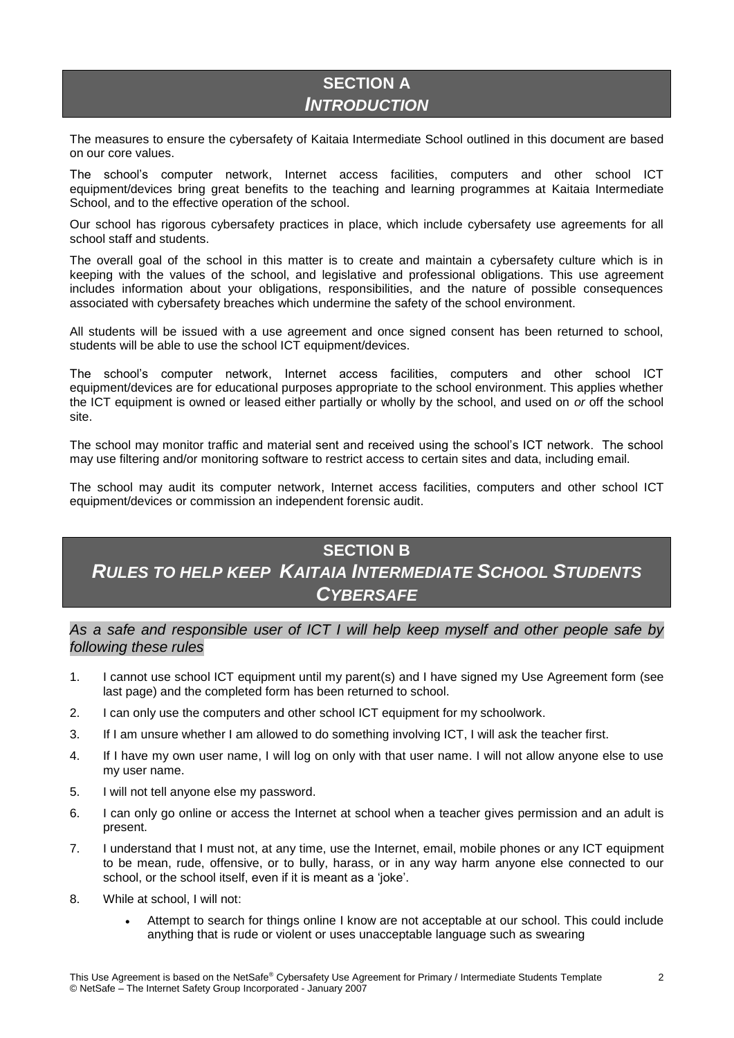## **SECTION A** *INTRODUCTION*

The measures to ensure the cybersafety of Kaitaia Intermediate School outlined in this document are based on our core values.

The school's computer network, Internet access facilities, computers and other school ICT equipment/devices bring great benefits to the teaching and learning programmes at Kaitaia Intermediate School, and to the effective operation of the school.

Our school has rigorous cybersafety practices in place, which include cybersafety use agreements for all school staff and students.

The overall goal of the school in this matter is to create and maintain a cybersafety culture which is in keeping with the values of the school, and legislative and professional obligations. This use agreement includes information about your obligations, responsibilities, and the nature of possible consequences associated with cybersafety breaches which undermine the safety of the school environment.

All students will be issued with a use agreement and once signed consent has been returned to school, students will be able to use the school ICT equipment/devices.

The school's computer network, Internet access facilities, computers and other school ICT equipment/devices are for educational purposes appropriate to the school environment. This applies whether the ICT equipment is owned or leased either partially or wholly by the school, and used on *or* off the school site.

The school may monitor traffic and material sent and received using the school's ICT network. The school may use filtering and/or monitoring software to restrict access to certain sites and data, including email.

The school may audit its computer network, Internet access facilities, computers and other school ICT equipment/devices or commission an independent forensic audit.

# **SECTION B** *RULES TO HELP KEEP KAITAIA INTERMEDIATE SCHOOL STUDENTS CYBERSAFE*

*As a safe and responsible user of ICT I will help keep myself and other people safe by following these rules*

- 1. I cannot use school ICT equipment until my parent(s) and I have signed my Use Agreement form (see last page) and the completed form has been returned to school.
- 2. I can only use the computers and other school ICT equipment for my schoolwork.
- 3. If I am unsure whether I am allowed to do something involving ICT, I will ask the teacher first.
- 4. If I have my own user name, I will log on only with that user name. I will not allow anyone else to use my user name.
- 5. I will not tell anyone else my password.
- 6. I can only go online or access the Internet at school when a teacher gives permission and an adult is present.
- 7. I understand that I must not, at any time, use the Internet, email, mobile phones or any ICT equipment to be mean, rude, offensive, or to bully, harass, or in any way harm anyone else connected to our school, or the school itself, even if it is meant as a 'joke'.
- 8. While at school, I will not:
	- Attempt to search for things online I know are not acceptable at our school. This could include anything that is rude or violent or uses unacceptable language such as swearing